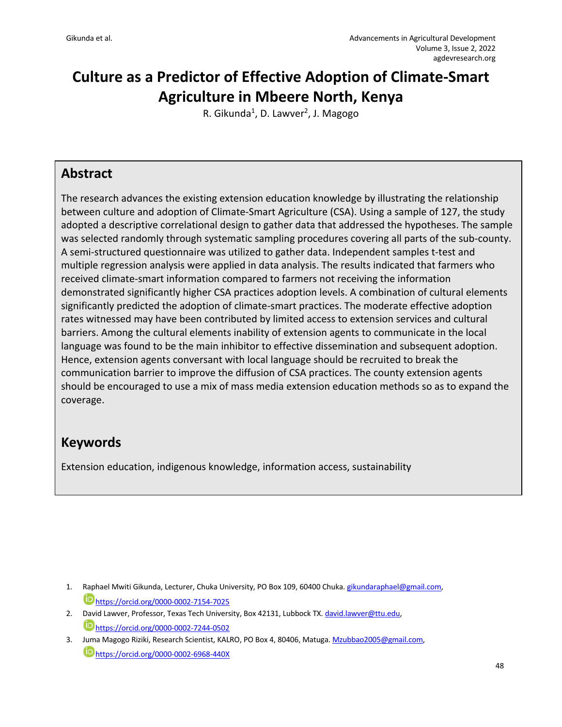# **Culture as a Predictor of Effective Adoption of Climate-Smart Agriculture in Mbeere North, Kenya**

R. Gikunda<sup>1</sup>, D. Lawver<sup>2</sup>, J. Magogo

### **Abstract**

The research advances the existing extension education knowledge by illustrating the relationship between culture and adoption of Climate-Smart Agriculture (CSA). Using a sample of 127, the study adopted a descriptive correlational design to gather data that addressed the hypotheses. The sample was selected randomly through systematic sampling procedures covering all parts of the sub-county. A semi-structured questionnaire was utilized to gather data. Independent samples t-test and multiple regression analysis were applied in data analysis. The results indicated that farmers who received climate-smart information compared to farmers not receiving the information demonstrated significantly higher CSA practices adoption levels. A combination of cultural elements significantly predicted the adoption of climate-smart practices. The moderate effective adoption rates witnessed may have been contributed by limited access to extension services and cultural barriers. Among the cultural elements inability of extension agents to communicate in the local language was found to be the main inhibitor to effective dissemination and subsequent adoption. Hence, extension agents conversant with local language should be recruited to break the communication barrier to improve the diffusion of CSA practices. The county extension agents should be encouraged to use a mix of mass media extension education methods so as to expand the coverage.

# **Keywords**

Extension education, indigenous knowledge, information access, sustainability

- 2. David Lawver, Professor, Texas Tech University, Box 42131, Lubbock TX. david.lawver@ttu.edu, https://orcid.org/0000-0002-7244-0502
- 3. Juma Magogo Riziki, Research Scientist, KALRO, PO Box 4, 80406, Matuga. Mzubbao2005@gmail.com, https://orcid.org/0000-0002-6968-440X

<sup>1.</sup> Raphael Mwiti Gikunda, Lecturer, Chuka University, PO Box 109, 60400 Chuka. gikundaraphael@gmail.com, https://orcid.org/0000-0002-7154-7025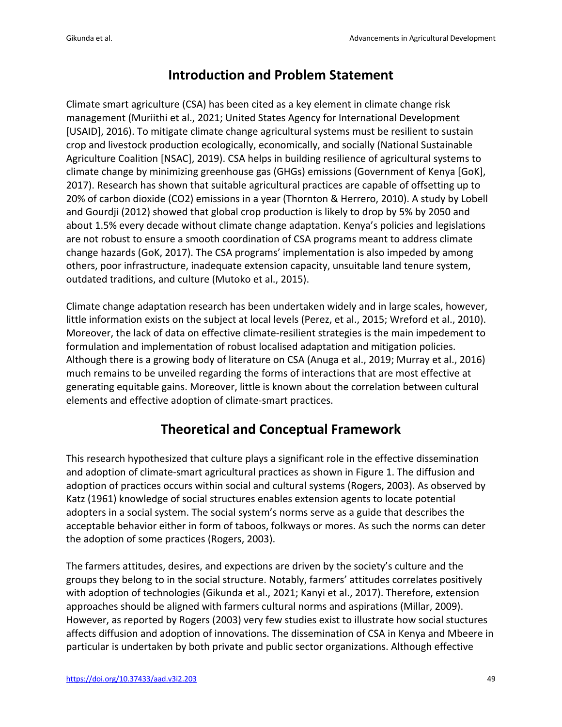## **Introduction and Problem Statement**

Climate smart agriculture (CSA) has been cited as a key element in climate change risk management (Muriithi et al., 2021; United States Agency for International Development [USAID], 2016). To mitigate climate change agricultural systems must be resilient to sustain crop and livestock production ecologically, economically, and socially (National Sustainable Agriculture Coalition [NSAC], 2019). CSA helps in building resilience of agricultural systems to climate change by minimizing greenhouse gas (GHGs) emissions (Government of Kenya [GoK], 2017). Research has shown that suitable agricultural practices are capable of offsetting up to 20% of carbon dioxide (CO2) emissions in a year (Thornton & Herrero, 2010). A study by Lobell and Gourdji (2012) showed that global crop production is likely to drop by 5% by 2050 and about 1.5% every decade without climate change adaptation. Kenya's policies and legislations are not robust to ensure a smooth coordination of CSA programs meant to address climate change hazards (GoK, 2017). The CSA programs' implementation is also impeded by among others, poor infrastructure, inadequate extension capacity, unsuitable land tenure system, outdated traditions, and culture (Mutoko et al., 2015).

Climate change adaptation research has been undertaken widely and in large scales, however, little information exists on the subject at local levels (Perez, et al., 2015; Wreford et al., 2010). Moreover, the lack of data on effective climate-resilient strategies is the main impedement to formulation and implementation of robust localised adaptation and mitigation policies. Although there is a growing body of literature on CSA (Anuga et al., 2019; Murray et al., 2016) much remains to be unveiled regarding the forms of interactions that are most effective at generating equitable gains. Moreover, little is known about the correlation between cultural elements and effective adoption of climate-smart practices.

# **Theoretical and Conceptual Framework**

This research hypothesized that culture plays a significant role in the effective dissemination and adoption of climate-smart agricultural practices as shown in Figure 1. The diffusion and adoption of practices occurs within social and cultural systems (Rogers, 2003). As observed by Katz (1961) knowledge of social structures enables extension agents to locate potential adopters in a social system. The social system's norms serve as a guide that describes the acceptable behavior either in form of taboos, folkways or mores. As such the norms can deter the adoption of some practices (Rogers, 2003).

The farmers attitudes, desires, and expections are driven by the society's culture and the groups they belong to in the social structure. Notably, farmers' attitudes correlates positively with adoption of technologies (Gikunda et al., 2021; Kanyi et al., 2017). Therefore, extension approaches should be aligned with farmers cultural norms and aspirations (Millar, 2009). However, as reported by Rogers (2003) very few studies exist to illustrate how social stuctures affects diffusion and adoption of innovations. The dissemination of CSA in Kenya and Mbeere in particular is undertaken by both private and public sector organizations. Although effective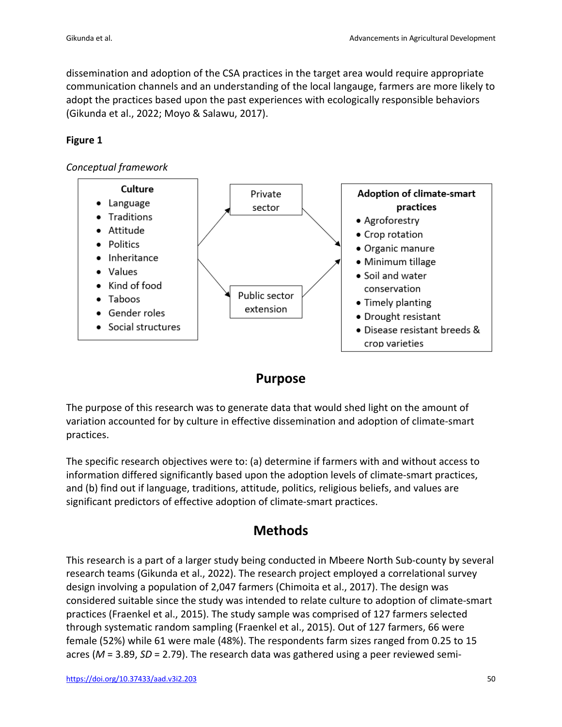dissemination and adoption of the CSA practices in the target area would require appropriate communication channels and an understanding of the local langauge, farmers are more likely to adopt the practices based upon the past experiences with ecologically responsible behaviors (Gikunda et al., 2022; Moyo & Salawu, 2017).

#### **Figure 1**

#### *Conceptual framework*



### **Purpose**

The purpose of this research was to generate data that would shed light on the amount of variation accounted for by culture in effective dissemination and adoption of climate-smart practices.

The specific research objectives were to: (a) determine if farmers with and without access to information differed significantly based upon the adoption levels of climate-smart practices, and (b) find out if language, traditions, attitude, politics, religious beliefs, and values are significant predictors of effective adoption of climate-smart practices.

### **Methods**

This research is a part of a larger study being conducted in Mbeere North Sub-county by several research teams (Gikunda et al., 2022). The research project employed a correlational survey design involving a population of 2,047 farmers (Chimoita et al., 2017). The design was considered suitable since the study was intended to relate culture to adoption of climate-smart practices (Fraenkel et al., 2015). The study sample was comprised of 127 farmers selected through systematic random sampling (Fraenkel et al., 2015). Out of 127 farmers, 66 were female (52%) while 61 were male (48%). The respondents farm sizes ranged from 0.25 to 15 acres (*M* = 3.89, *SD* = 2.79). The research data was gathered using a peer reviewed semi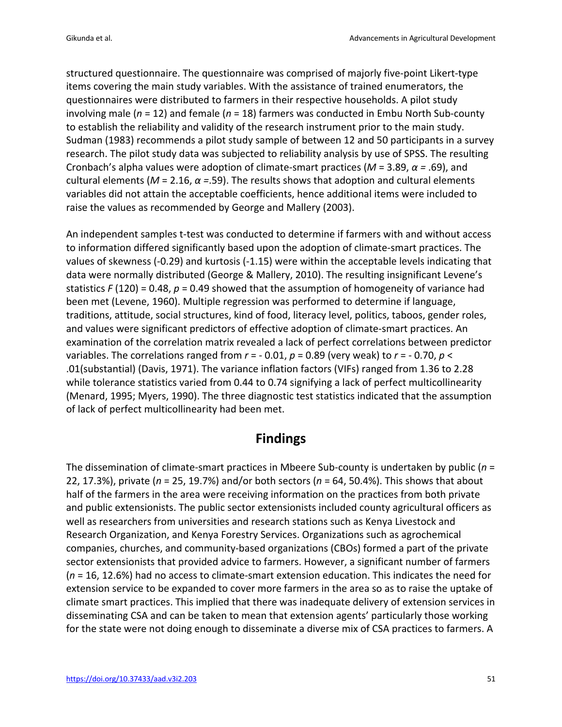structured questionnaire. The questionnaire was comprised of majorly five-point Likert-type items covering the main study variables. With the assistance of trained enumerators, the questionnaires were distributed to farmers in their respective households. A pilot study involving male (*n* = 12) and female (*n* = 18) farmers was conducted in Embu North Sub-county to establish the reliability and validity of the research instrument prior to the main study. Sudman (1983) recommends a pilot study sample of between 12 and 50 participants in a survey research. The pilot study data was subjected to reliability analysis by use of SPSS. The resulting Cronbach's alpha values were adoption of climate-smart practices (*M* = 3.89, *α =* .69), and cultural elements (*M* = 2.16, *α =*.59). The results shows that adoption and cultural elements variables did not attain the acceptable coefficients, hence additional items were included to raise the values as recommended by George and Mallery (2003).

An independent samples t-test was conducted to determine if farmers with and without access to information differed significantly based upon the adoption of climate-smart practices. The values of skewness (-0.29) and kurtosis (-1.15) were within the acceptable levels indicating that data were normally distributed (George & Mallery, 2010). The resulting insignificant Levene's statistics *F* (120) = 0.48, *p* = 0.49 showed that the assumption of homogeneity of variance had been met (Levene, 1960). Multiple regression was performed to determine if language, traditions, attitude, social structures, kind of food, literacy level, politics, taboos, gender roles, and values were significant predictors of effective adoption of climate-smart practices. An examination of the correlation matrix revealed a lack of perfect correlations between predictor variables. The correlations ranged from *r* = - 0.01, *p* = 0.89 (very weak) to *r* = - 0.70, *p* < .01(substantial) (Davis, 1971). The variance inflation factors (VIFs) ranged from 1.36 to 2.28 while tolerance statistics varied from 0.44 to 0.74 signifying a lack of perfect multicollinearity (Menard, 1995; Myers, 1990). The three diagnostic test statistics indicated that the assumption of lack of perfect multicollinearity had been met.

# **Findings**

The dissemination of climate-smart practices in Mbeere Sub-county is undertaken by public (*n* = 22, 17.3%), private (*n* = 25, 19.7%) and/or both sectors (*n* = 64, 50.4%). This shows that about half of the farmers in the area were receiving information on the practices from both private and public extensionists. The public sector extensionists included county agricultural officers as well as researchers from universities and research stations such as Kenya Livestock and Research Organization, and Kenya Forestry Services. Organizations such as agrochemical companies, churches, and community-based organizations (CBOs) formed a part of the private sector extensionists that provided advice to farmers. However, a significant number of farmers (*n* = 16, 12.6%) had no access to climate-smart extension education. This indicates the need for extension service to be expanded to cover more farmers in the area so as to raise the uptake of climate smart practices. This implied that there was inadequate delivery of extension services in disseminating CSA and can be taken to mean that extension agents' particularly those working for the state were not doing enough to disseminate a diverse mix of CSA practices to farmers. A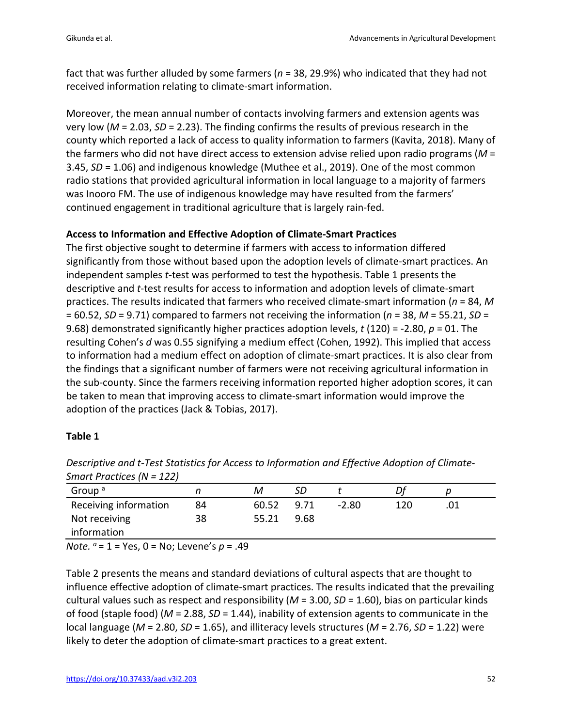fact that was further alluded by some farmers (*n* = 38, 29.9%) who indicated that they had not received information relating to climate-smart information.

Moreover, the mean annual number of contacts involving farmers and extension agents was very low (*M* = 2.03, *SD* = 2.23). The finding confirms the results of previous research in the county which reported a lack of access to quality information to farmers (Kavita, 2018). Many of the farmers who did not have direct access to extension advise relied upon radio programs (*M* = 3.45, *SD* = 1.06) and indigenous knowledge (Muthee et al., 2019). One of the most common radio stations that provided agricultural information in local language to a majority of farmers was Inooro FM. The use of indigenous knowledge may have resulted from the farmers' continued engagement in traditional agriculture that is largely rain-fed.

#### **Access to Information and Effective Adoption of Climate-Smart Practices**

The first objective sought to determine if farmers with access to information differed significantly from those without based upon the adoption levels of climate-smart practices. An independent samples *t*-test was performed to test the hypothesis. Table 1 presents the descriptive and *t*-test results for access to information and adoption levels of climate-smart practices. The results indicated that farmers who received climate-smart information (*n* = 84, *M* = 60.52, *SD* = 9.71) compared to farmers not receiving the information (*n* = 38, *M* = 55.21, *SD* = 9.68) demonstrated significantly higher practices adoption levels, *t* (120) = -2.80, *p* = 01. The resulting Cohen's *d* was 0.55 signifying a medium effect (Cohen, 1992). This implied that access to information had a medium effect on adoption of climate-smart practices. It is also clear from the findings that a significant number of farmers were not receiving agricultural information in the sub-county. Since the farmers receiving information reported higher adoption scores, it can be taken to mean that improving access to climate-smart information would improve the adoption of the practices (Jack & Tobias, 2017).

#### **Table 1**

| Group <sup>a</sup>    |    |       | SD   |         |     |  |
|-----------------------|----|-------|------|---------|-----|--|
| Receiving information | 84 | 60.52 | 9.71 | $-2.80$ | 120 |  |
| Not receiving         | 38 | 55.21 | 9.68 |         |     |  |
| information           |    |       |      |         |     |  |

*Descriptive and t-Test Statistics for Access to Information and Effective Adoption of Climate-Smart Practices (N = 122)*

*Note. a* = 1 = Yes, 0 = No; Levene's *p* = .49

Table 2 presents the means and standard deviations of cultural aspects that are thought to influence effective adoption of climate-smart practices. The results indicated that the prevailing cultural values such as respect and responsibility (*M* = 3.00, *SD* = 1.60), bias on particular kinds of food (staple food) (*M* = 2.88, *SD* = 1.44), inability of extension agents to communicate in the local language (*M* = 2.80, *SD* = 1.65), and illiteracy levels structures (*M* = 2.76, *SD* = 1.22) were likely to deter the adoption of climate-smart practices to a great extent.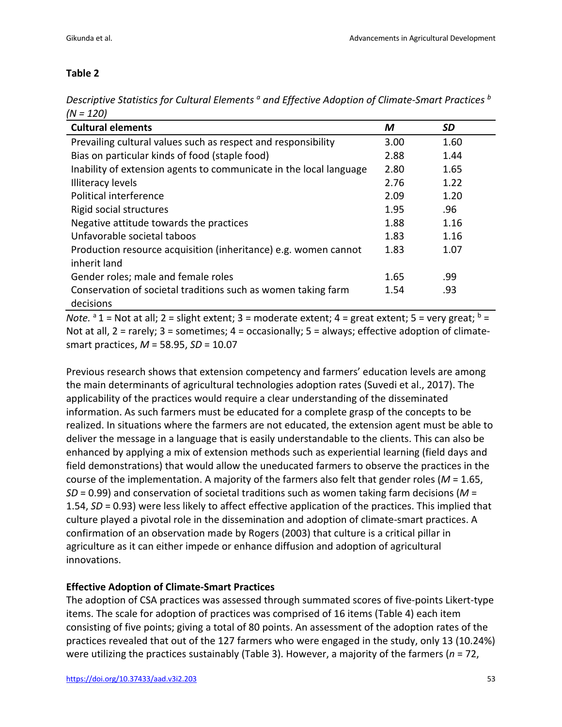#### **Table 2**

*Descriptive Statistics for Cultural Elements a and Effective Adoption of Climate-Smart Practices b (N = 120)* 

| <b>Cultural elements</b>                                                        | M    | SD   |
|---------------------------------------------------------------------------------|------|------|
| Prevailing cultural values such as respect and responsibility                   | 3.00 | 1.60 |
| Bias on particular kinds of food (staple food)                                  | 2.88 | 1.44 |
| Inability of extension agents to communicate in the local language              | 2.80 | 1.65 |
| <b>Illiteracy levels</b>                                                        | 2.76 | 1.22 |
| Political interference                                                          | 2.09 | 1.20 |
| Rigid social structures                                                         | 1.95 | .96  |
| Negative attitude towards the practices                                         | 1.88 | 1.16 |
| Unfavorable societal taboos                                                     | 1.83 | 1.16 |
| Production resource acquisition (inheritance) e.g. women cannot<br>inherit land | 1.83 | 1.07 |
| Gender roles; male and female roles                                             | 1.65 | .99  |
| Conservation of societal traditions such as women taking farm<br>decisions      | 1.54 | .93  |

*Note.*  $a_1$  = Not at all; 2 = slight extent; 3 = moderate extent; 4 = great extent; 5 = very great;  $b =$ Not at all, 2 = rarely; 3 = sometimes; 4 = occasionally; 5 = always; effective adoption of climatesmart practices, *M* = 58.95, *SD* = 10.07

Previous research shows that extension competency and farmers' education levels are among the main determinants of agricultural technologies adoption rates (Suvedi et al., 2017). The applicability of the practices would require a clear understanding of the disseminated information. As such farmers must be educated for a complete grasp of the concepts to be realized. In situations where the farmers are not educated, the extension agent must be able to deliver the message in a language that is easily understandable to the clients. This can also be enhanced by applying a mix of extension methods such as experiential learning (field days and field demonstrations) that would allow the uneducated farmers to observe the practices in the course of the implementation. A majority of the farmers also felt that gender roles (*M* = 1.65, *SD* = 0.99) and conservation of societal traditions such as women taking farm decisions (*M* = 1.54, *SD* = 0.93) were less likely to affect effective application of the practices. This implied that culture played a pivotal role in the dissemination and adoption of climate-smart practices. A confirmation of an observation made by Rogers (2003) that culture is a critical pillar in agriculture as it can either impede or enhance diffusion and adoption of agricultural innovations.

#### **Effective Adoption of Climate-Smart Practices**

The adoption of CSA practices was assessed through summated scores of five-points Likert-type items. The scale for adoption of practices was comprised of 16 items (Table 4) each item consisting of five points; giving a total of 80 points. An assessment of the adoption rates of the practices revealed that out of the 127 farmers who were engaged in the study, only 13 (10.24%) were utilizing the practices sustainably (Table 3). However, a majority of the farmers (*n* = 72,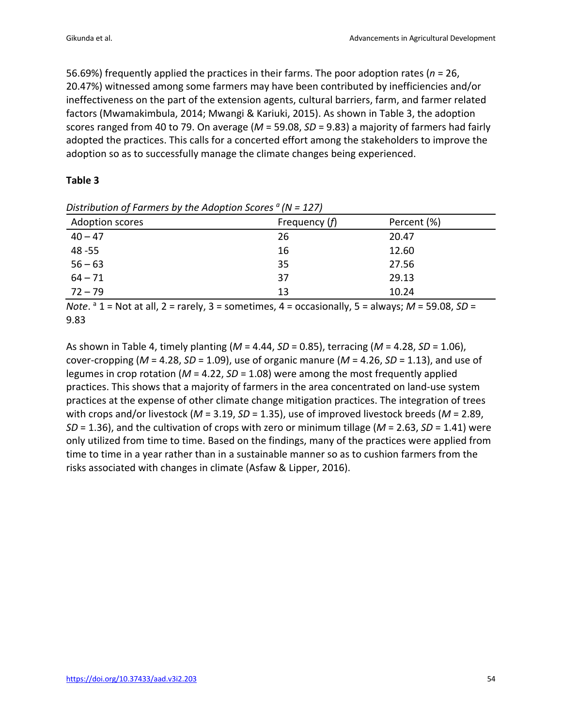56.69%) frequently applied the practices in their farms. The poor adoption rates (*n* = 26, 20.47%) witnessed among some farmers may have been contributed by inefficiencies and/or ineffectiveness on the part of the extension agents, cultural barriers, farm, and farmer related factors (Mwamakimbula, 2014; Mwangi & Kariuki, 2015). As shown in Table 3, the adoption scores ranged from 40 to 79. On average (*M* = 59.08, *SD* = 9.83) a majority of farmers had fairly adopted the practices. This calls for a concerted effort among the stakeholders to improve the adoption so as to successfully manage the climate changes being experienced.

#### **Table 3**

| Distribution of Farmers by the Adoption Scores $a(N = 127)$ |                 |             |  |  |  |
|-------------------------------------------------------------|-----------------|-------------|--|--|--|
| Adoption scores                                             | Frequency $(f)$ | Percent (%) |  |  |  |
| $40 - 47$                                                   | 26              | 20.47       |  |  |  |
| 48-55                                                       | 16              | 12.60       |  |  |  |
| $56 - 63$                                                   | 35              | 27.56       |  |  |  |
| $64 - 71$                                                   | 37              | 29.13       |  |  |  |
| $72 - 79$                                                   | 13              | 10.24       |  |  |  |

*Note*.  $a^a$  1 = Not at all, 2 = rarely, 3 = sometimes, 4 = occasionally, 5 = always; *M* = 59.08, *SD* = 9.83

As shown in Table 4, timely planting (*M* = 4.44, *SD* = 0.85), terracing (*M* = 4.28, *SD* = 1.06), cover-cropping (*M* = 4.28, *SD* = 1.09), use of organic manure (*M* = 4.26, *SD* = 1.13), and use of legumes in crop rotation (*M* = 4.22, *SD* = 1.08) were among the most frequently applied practices. This shows that a majority of farmers in the area concentrated on land-use system practices at the expense of other climate change mitigation practices. The integration of trees with crops and/or livestock (*M* = 3.19, *SD* = 1.35), use of improved livestock breeds (*M* = 2.89, *SD* = 1.36), and the cultivation of crops with zero or minimum tillage (*M* = 2.63, *SD* = 1.41) were only utilized from time to time. Based on the findings, many of the practices were applied from time to time in a year rather than in a sustainable manner so as to cushion farmers from the risks associated with changes in climate (Asfaw & Lipper, 2016).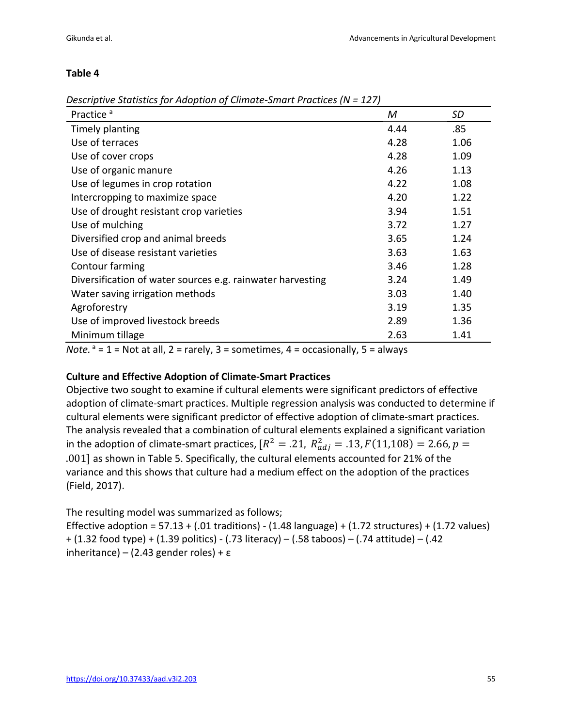#### **Table 4**

|  |  | Descriptive Statistics for Adoption of Climate-Smart Practices (N = 127) |  |  |  |
|--|--|--------------------------------------------------------------------------|--|--|--|
|  |  |                                                                          |  |  |  |

| Practice <sup>a</sup>                                      | M    | SD   |
|------------------------------------------------------------|------|------|
| Timely planting                                            | 4.44 | .85  |
| Use of terraces                                            | 4.28 | 1.06 |
| Use of cover crops                                         | 4.28 | 1.09 |
| Use of organic manure                                      | 4.26 | 1.13 |
| Use of legumes in crop rotation                            | 4.22 | 1.08 |
| Intercropping to maximize space                            | 4.20 | 1.22 |
| Use of drought resistant crop varieties                    | 3.94 | 1.51 |
| Use of mulching                                            | 3.72 | 1.27 |
| Diversified crop and animal breeds                         | 3.65 | 1.24 |
| Use of disease resistant varieties                         | 3.63 | 1.63 |
| Contour farming                                            | 3.46 | 1.28 |
| Diversification of water sources e.g. rainwater harvesting | 3.24 | 1.49 |
| Water saving irrigation methods                            | 3.03 | 1.40 |
| Agroforestry                                               | 3.19 | 1.35 |
| Use of improved livestock breeds                           | 2.89 | 1.36 |
| Minimum tillage                                            | 2.63 | 1.41 |

*Note.*  $a = 1$  = Not at all,  $2$  = rarely,  $3$  = sometimes,  $4$  = occasionally,  $5$  = always

#### **Culture and Effective Adoption of Climate-Smart Practices**

Objective two sought to examine if cultural elements were significant predictors of effective adoption of climate-smart practices. Multiple regression analysis was conducted to determine if cultural elements were significant predictor of effective adoption of climate-smart practices. The analysis revealed that a combination of cultural elements explained a significant variation in the adoption of climate-smart practices, [ $R^2 = .21$ ,  $R^2_{adj} = .13$ ,  $F(11,108) = 2.66$ ,  $p =$ .001] as shown in Table 5. Specifically, the cultural elements accounted for 21% of the variance and this shows that culture had a medium effect on the adoption of the practices (Field, 2017).

The resulting model was summarized as follows;

Effective adoption =  $57.13 + (.01$  traditions) -  $(1.48$  language) +  $(1.72$  structures) +  $(1.72$  values) + (1.32 food type) + (1.39 politics) - (.73 literacy) – (.58 taboos) – (.74 attitude) – (.42 inheritance) – (2.43 gender roles) + ε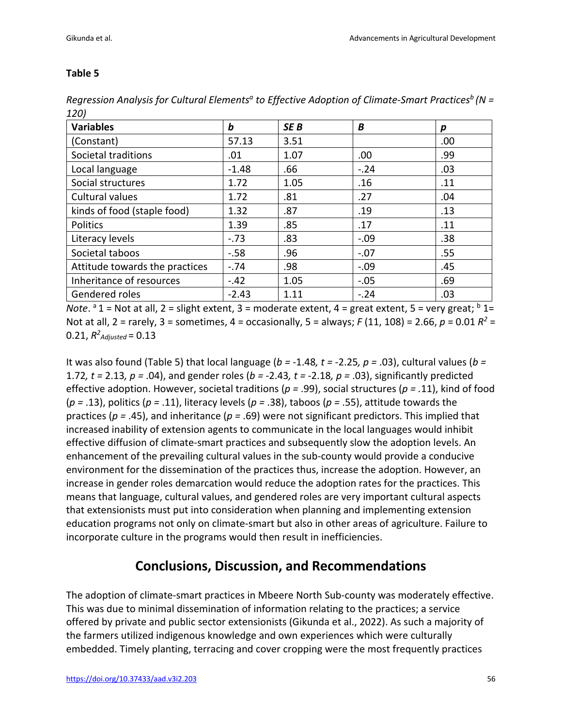#### **Table 5**

| <b>Variables</b>               | b       | SE <sub>B</sub> | B      | р   |
|--------------------------------|---------|-----------------|--------|-----|
| (Constant)                     | 57.13   | 3.51            |        | .00 |
| Societal traditions            | .01     | 1.07            | .00    | .99 |
| Local language                 | $-1.48$ | .66             | $-.24$ | .03 |
| Social structures              | 1.72    | 1.05            | .16    | .11 |
| Cultural values                | 1.72    | .81             | .27    | .04 |
| kinds of food (staple food)    | 1.32    | .87             | .19    | .13 |
| Politics                       | 1.39    | .85             | .17    | .11 |
| Literacy levels                | $-.73$  | .83             | $-.09$ | .38 |
| Societal taboos                | $-.58$  | .96             | $-.07$ | .55 |
| Attitude towards the practices | $-.74$  | .98             | $-.09$ | .45 |
| Inheritance of resources       | $-.42$  | 1.05            | $-.05$ | .69 |
| Gendered roles                 | $-2.43$ | 1.11            | $-.24$ | .03 |

*Regression Analysis for Cultural Elements<sup>a</sup> to Effective Adoption of Climate-Smart Practices<sup>b</sup> (N = 120)*

*Note*. <sup>a</sup> 1 = Not at all, 2 = slight extent, 3 = moderate extent, 4 = great extent, 5 = very great;  $\frac{b}{1}$  1= Not at all, 2 = rarely, 3 = sometimes, 4 = occasionally, 5 = always; *F* (11, 108) = 2.66, *p* = 0.01 *R2* = 0.21,  $R^2$ <sub>Adjusted</sub> = 0.13

It was also found (Table 5) that local language (*b =* -1.48*, t =* -2.25*, p =* .03), cultural values (*b =*  1.72*, t =* 2.13*, p =* .04), and gender roles (*b = -*2.43*, t =* -2.18*, p =* .03), significantly predicted effective adoption. However, societal traditions (*p =* .99), social structures (*p = .*11), kind of food (*p =* .13), politics (*p =* .11), literacy levels (*p =* .38), taboos (*p =* .55), attitude towards the practices (*p =* .45), and inheritance (*p =* .69) were not significant predictors. This implied that increased inability of extension agents to communicate in the local languages would inhibit effective diffusion of climate-smart practices and subsequently slow the adoption levels. An enhancement of the prevailing cultural values in the sub-county would provide a conducive environment for the dissemination of the practices thus, increase the adoption. However, an increase in gender roles demarcation would reduce the adoption rates for the practices. This means that language, cultural values, and gendered roles are very important cultural aspects that extensionists must put into consideration when planning and implementing extension education programs not only on climate-smart but also in other areas of agriculture. Failure to incorporate culture in the programs would then result in inefficiencies.

### **Conclusions, Discussion, and Recommendations**

The adoption of climate-smart practices in Mbeere North Sub-county was moderately effective. This was due to minimal dissemination of information relating to the practices; a service offered by private and public sector extensionists (Gikunda et al., 2022). As such a majority of the farmers utilized indigenous knowledge and own experiences which were culturally embedded. Timely planting, terracing and cover cropping were the most frequently practices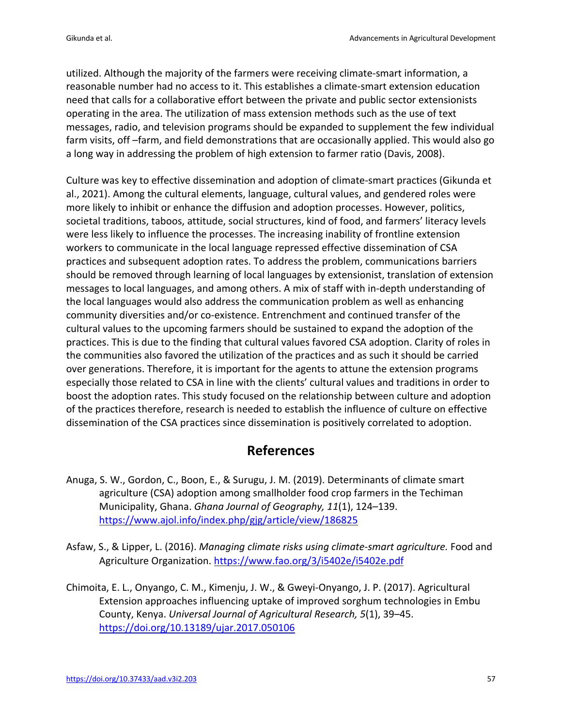utilized. Although the majority of the farmers were receiving climate-smart information, a reasonable number had no access to it. This establishes a climate-smart extension education need that calls for a collaborative effort between the private and public sector extensionists operating in the area. The utilization of mass extension methods such as the use of text messages, radio, and television programs should be expanded to supplement the few individual farm visits, off –farm, and field demonstrations that are occasionally applied. This would also go a long way in addressing the problem of high extension to farmer ratio (Davis, 2008).

Culture was key to effective dissemination and adoption of climate-smart practices (Gikunda et al., 2021). Among the cultural elements, language, cultural values, and gendered roles were more likely to inhibit or enhance the diffusion and adoption processes. However, politics, societal traditions, taboos, attitude, social structures, kind of food, and farmers' literacy levels were less likely to influence the processes. The increasing inability of frontline extension workers to communicate in the local language repressed effective dissemination of CSA practices and subsequent adoption rates. To address the problem, communications barriers should be removed through learning of local languages by extensionist, translation of extension messages to local languages, and among others. A mix of staff with in-depth understanding of the local languages would also address the communication problem as well as enhancing community diversities and/or co-existence. Entrenchment and continued transfer of the cultural values to the upcoming farmers should be sustained to expand the adoption of the practices. This is due to the finding that cultural values favored CSA adoption. Clarity of roles in the communities also favored the utilization of the practices and as such it should be carried over generations. Therefore, it is important for the agents to attune the extension programs especially those related to CSA in line with the clients' cultural values and traditions in order to boost the adoption rates. This study focused on the relationship between culture and adoption of the practices therefore, research is needed to establish the influence of culture on effective dissemination of the CSA practices since dissemination is positively correlated to adoption.

### **References**

- Anuga, S. W., Gordon, C., Boon, E., & Surugu, J. M. (2019). Determinants of climate smart agriculture (CSA) adoption among smallholder food crop farmers in the Techiman Municipality, Ghana. *Ghana Journal of Geography, 11*(1), 124–139. https://www.ajol.info/index.php/gjg/article/view/186825
- Asfaw, S., & Lipper, L. (2016). *Managing climate risks using climate-smart agriculture.* Food and Agriculture Organization. https://www.fao.org/3/i5402e/i5402e.pdf
- Chimoita, E. L., Onyango, C. M., Kimenju, J. W., & Gweyi-Onyango, J. P. (2017). Agricultural Extension approaches influencing uptake of improved sorghum technologies in Embu County, Kenya. *Universal Journal of Agricultural Research, 5*(1), 39–45. https://doi.org/10.13189/ujar.2017.050106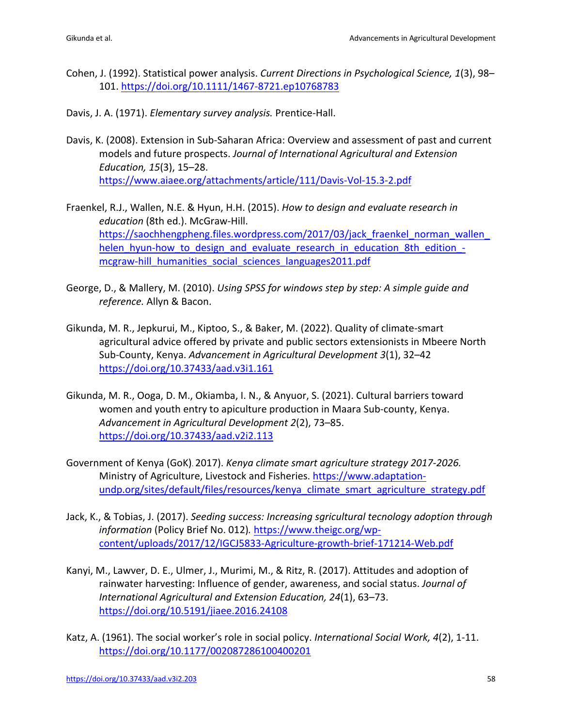- Cohen, J. (1992). Statistical power analysis. *Current Directions in Psychological Science, 1*(3), 98– 101. https://doi.org/10.1111/1467-8721.ep10768783
- Davis, J. A. (1971). *Elementary survey analysis.* Prentice-Hall.
- Davis, K. (2008). Extension in Sub-Saharan Africa: Overview and assessment of past and current models and future prospects. *Journal of International Agricultural and Extension Education, 15*(3), 15–28. https://www.aiaee.org/attachments/article/111/Davis-Vol-15.3-2.pdf
- Fraenkel, R.J., Wallen, N.E. & Hyun, H.H. (2015). *How to design and evaluate research in education* (8th ed.). McGraw-Hill. https://saochhengpheng.files.wordpress.com/2017/03/jack\_fraenkel\_norman\_wallen\_ helen\_hyun-how\_to\_design\_and\_evaluate\_research\_in\_education\_8th\_edition\_mcgraw-hill\_humanities\_social\_sciences\_languages2011.pdf
- George, D., & Mallery, M. (2010). *Using SPSS for windows step by step: A simple guide and reference.* Allyn & Bacon.
- Gikunda, M. R., Jepkurui, M., Kiptoo, S., & Baker, M. (2022). Quality of climate-smart agricultural advice offered by private and public sectors extensionists in Mbeere North Sub-County, Kenya. *Advancement in Agricultural Development 3*(1), 32–42 https://doi.org/10.37433/aad.v3i1.161
- Gikunda, M. R., Ooga, D. M., Okiamba, I. N., & Anyuor, S. (2021). Cultural barriers toward women and youth entry to apiculture production in Maara Sub-county, Kenya. *Advancement in Agricultural Development 2*(2), 73–85. https://doi.org/10.37433/aad.v2i2.113
- Government of Kenya (GoK). 2017). *Kenya climate smart agriculture strategy 2017-2026.* Ministry of Agriculture, Livestock and Fisheries. https://www.adaptationundp.org/sites/default/files/resources/kenya\_climate\_smart\_agriculture\_strategy.pdf
- Jack, K., & Tobias, J. (2017). *Seeding success: Increasing sgricultural tecnology adoption through information* (Policy Brief No. 012)*.* https://www.theigc.org/wpcontent/uploads/2017/12/IGCJ5833-Agriculture-growth-brief-171214-Web.pdf
- Kanyi, M., Lawver, D. E., Ulmer, J., Murimi, M., & Ritz, R. (2017). Attitudes and adoption of rainwater harvesting: Influence of gender, awareness, and social status. *Journal of International Agricultural and Extension Education, 24*(1), 63–73. https://doi.org/10.5191/jiaee.2016.24108
- Katz, A. (1961). The social worker's role in social policy. *International Social Work, 4*(2), 1-11. https://doi.org/10.1177/002087286100400201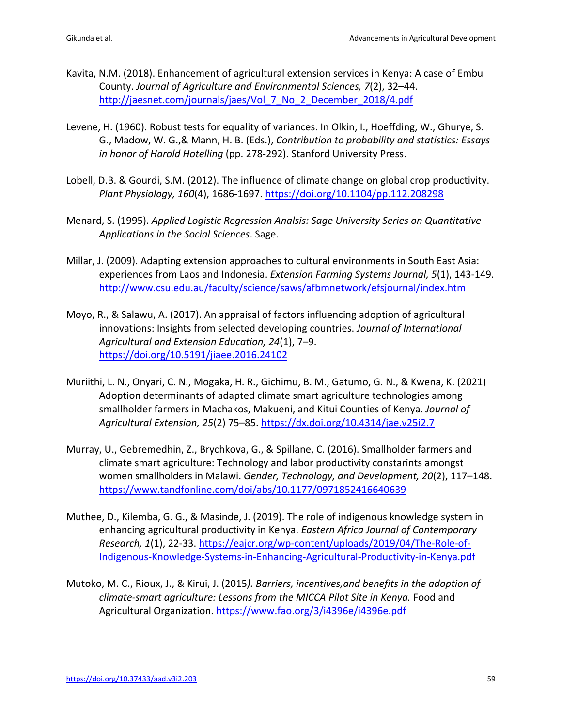- Kavita, N.M. (2018). Enhancement of agricultural extension services in Kenya: A case of Embu County. *Journal of Agriculture and Environmental Sciences, 7*(2), 32–44. http://jaesnet.com/journals/jaes/Vol 7 No 2 December 2018/4.pdf
- Levene, H. (1960). Robust tests for equality of variances. In Olkin, I., Hoeffding, W., Ghurye, S. G., Madow, W. G.,& Mann, H. B. (Eds.), *Contribution to probability and statistics: Essays in honor of Harold Hotelling* (pp. 278-292). Stanford University Press.
- Lobell, D.B. & Gourdi, S.M. (2012). The influence of climate change on global crop productivity. *Plant Physiology, 160*(4), 1686-1697. https://doi.org/10.1104/pp.112.208298
- Menard, S. (1995). *Applied Logistic Regression Analsis: Sage University Series on Quantitative Applications in the Social Sciences*. Sage.
- Millar, J. (2009). Adapting extension approaches to cultural environments in South East Asia: experiences from Laos and Indonesia. *Extension Farming Systems Journal, 5*(1), 143-149. http://www.csu.edu.au/faculty/science/saws/afbmnetwork/efsjournal/index.htm
- Moyo, R., & Salawu, A. (2017). An appraisal of factors influencing adoption of agricultural innovations: Insights from selected developing countries. *Journal of International Agricultural and Extension Education, 24*(1), 7–9. https://doi.org/10.5191/jiaee.2016.24102
- Muriithi, L. N., Onyari, C. N., Mogaka, H. R., Gichimu, B. M., Gatumo, G. N., & Kwena, K. (2021) Adoption determinants of adapted climate smart agriculture technologies among smallholder farmers in Machakos, Makueni, and Kitui Counties of Kenya. *Journal of Agricultural Extension, 25*(2) 75–85. https://dx.doi.org/10.4314/jae.v25i2.7
- Murray, U., Gebremedhin, Z., Brychkova, G., & Spillane, C. (2016). Smallholder farmers and climate smart agriculture: Technology and labor productivity constarints amongst women smallholders in Malawi. *Gender, Technology, and Development, 20*(2), 117–148. https://www.tandfonline.com/doi/abs/10.1177/0971852416640639
- Muthee, D., Kilemba, G. G., & Masinde, J. (2019). The role of indigenous knowledge system in enhancing agricultural productivity in Kenya. *Eastern Africa Journal of Contemporary Research, 1*(1), 22-33. https://eajcr.org/wp-content/uploads/2019/04/The-Role-of-Indigenous-Knowledge-Systems-in-Enhancing-Agricultural-Productivity-in-Kenya.pdf
- Mutoko, M. C., Rioux, J., & Kirui, J. (2015*). Barriers, incentives,and benefits in the adoption of climate-smart agriculture: Lessons from the MICCA Pilot Site in Kenya.* Food and Agricultural Organization. https://www.fao.org/3/i4396e/i4396e.pdf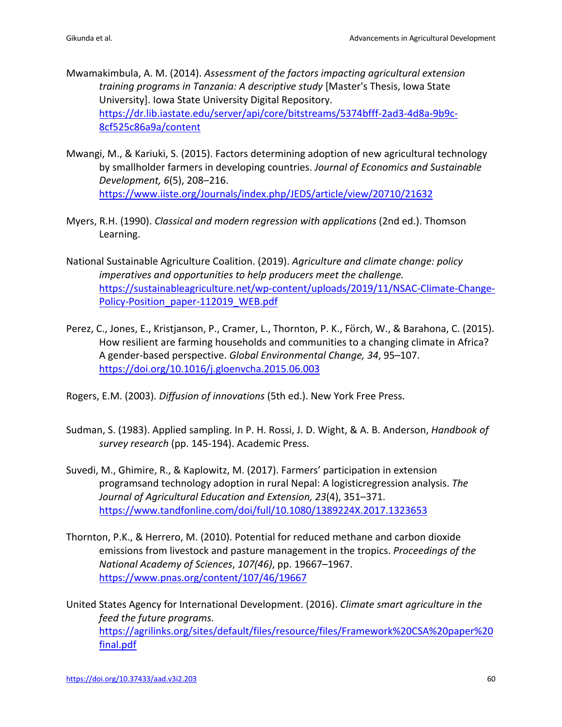- Mwamakimbula, A. M. (2014). *Assessment of the factors impacting agricultural extension training programs in Tanzania: A descriptive study* [Master's Thesis, Iowa State University]. Iowa State University Digital Repository. https://dr.lib.iastate.edu/server/api/core/bitstreams/5374bfff-2ad3-4d8a-9b9c-8cf525c86a9a/content
- Mwangi, M., & Kariuki, S. (2015). Factors determining adoption of new agricultural technology by smallholder farmers in developing countries. *Journal of Economics and Sustainable Development, 6*(5), 208–216. https://www.iiste.org/Journals/index.php/JEDS/article/view/20710/21632
- Myers, R.H. (1990). *Classical and modern regression with applications* (2nd ed.). Thomson Learning.
- National Sustainable Agriculture Coalition. (2019). *Agriculture and climate change: policy imperatives and opportunities to help producers meet the challenge.* https://sustainableagriculture.net/wp-content/uploads/2019/11/NSAC-Climate-Change-Policy-Position\_paper-112019\_WEB.pdf
- Perez, C., Jones, E., Kristjanson, P., Cramer, L., Thornton, P. K., Förch, W., & Barahona, C. (2015). How resilient are farming households and communities to a changing climate in Africa? A gender-based perspective. *Global Environmental Change, 34*, 95–107. https://doi.org/10.1016/j.gloenvcha.2015.06.003
- Rogers, E.M. (2003). *Diffusion of innovations* (5th ed.). New York Free Press.
- Sudman, S. (1983). Applied sampling. In P. H. Rossi, J. D. Wight, & A. B. Anderson, *Handbook of survey research* (pp. 145-194). Academic Press.
- Suvedi, M., Ghimire, R., & Kaplowitz, M. (2017). Farmers' participation in extension programsand technology adoption in rural Nepal: A logisticregression analysis. *The Journal of Agricultural Education and Extension, 23*(4), 351–371. https://www.tandfonline.com/doi/full/10.1080/1389224X.2017.1323653
- Thornton, P.K., & Herrero, M. (2010). Potential for reduced methane and carbon dioxide emissions from livestock and pasture management in the tropics. *Proceedings of the National Academy of Sciences*, *107(46)*, pp. 19667–1967. https://www.pnas.org/content/107/46/19667
- United States Agency for International Development. (2016). *Climate smart agriculture in the feed the future programs.* https://agrilinks.org/sites/default/files/resource/files/Framework%20CSA%20paper%20 final.pdf